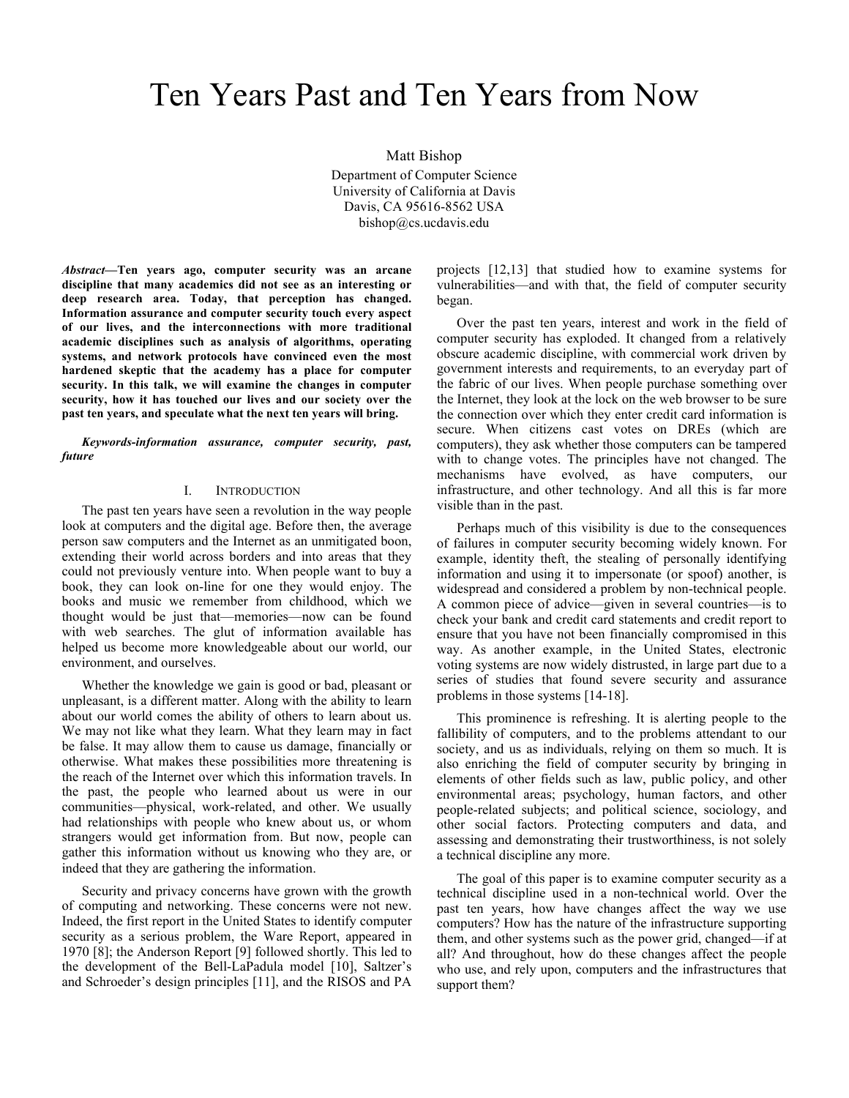# Ten Years Past and Ten Years from Now

Matt Bishop Department of Computer Science University of California at Davis Davis, CA 95616-8562 USA bishop@cs.ucdavis.edu

*Abstract***—Ten years ago, computer security was an arcane discipline that many academics did not see as an interesting or deep research area. Today, that perception has changed. Information assurance and computer security touch every aspect of our lives, and the interconnections with more traditional academic disciplines such as analysis of algorithms, operating systems, and network protocols have convinced even the most hardened skeptic that the academy has a place for computer security. In this talk, we will examine the changes in computer security, how it has touched our lives and our society over the past ten years, and speculate what the next ten years will bring.**

*Keywords-information assurance, computer security, past, future*

#### I. INTRODUCTION

The past ten years have seen a revolution in the way people look at computers and the digital age. Before then, the average person saw computers and the Internet as an unmitigated boon, extending their world across borders and into areas that they could not previously venture into. When people want to buy a book, they can look on-line for one they would enjoy. The books and music we remember from childhood, which we thought would be just that—memories—now can be found with web searches. The glut of information available has helped us become more knowledgeable about our world, our environment, and ourselves.

Whether the knowledge we gain is good or bad, pleasant or unpleasant, is a different matter. Along with the ability to learn about our world comes the ability of others to learn about us. We may not like what they learn. What they learn may in fact be false. It may allow them to cause us damage, financially or otherwise. What makes these possibilities more threatening is the reach of the Internet over which this information travels. In the past, the people who learned about us were in our communities—physical, work-related, and other. We usually had relationships with people who knew about us, or whom strangers would get information from. But now, people can gather this information without us knowing who they are, or indeed that they are gathering the information.

Security and privacy concerns have grown with the growth of computing and networking. These concerns were not new. Indeed, the first report in the United States to identify computer security as a serious problem, the Ware Report, appeared in 1970 [8]; the Anderson Report [9] followed shortly. This led to the development of the Bell-LaPadula model [10], Saltzer's and Schroeder's design principles [11], and the RISOS and PA

projects [12,13] that studied how to examine systems for vulnerabilities—and with that, the field of computer security began.

Over the past ten years, interest and work in the field of computer security has exploded. It changed from a relatively obscure academic discipline, with commercial work driven by government interests and requirements, to an everyday part of the fabric of our lives. When people purchase something over the Internet, they look at the lock on the web browser to be sure the connection over which they enter credit card information is secure. When citizens cast votes on DREs (which are computers), they ask whether those computers can be tampered with to change votes. The principles have not changed. The mechanisms have evolved, as have computers, our infrastructure, and other technology. And all this is far more visible than in the past.

Perhaps much of this visibility is due to the consequences of failures in computer security becoming widely known. For example, identity theft, the stealing of personally identifying information and using it to impersonate (or spoof) another, is widespread and considered a problem by non-technical people. A common piece of advice—given in several countries—is to check your bank and credit card statements and credit report to ensure that you have not been financially compromised in this way. As another example, in the United States, electronic voting systems are now widely distrusted, in large part due to a series of studies that found severe security and assurance problems in those systems [14-18].

This prominence is refreshing. It is alerting people to the fallibility of computers, and to the problems attendant to our society, and us as individuals, relying on them so much. It is also enriching the field of computer security by bringing in elements of other fields such as law, public policy, and other environmental areas; psychology, human factors, and other people-related subjects; and political science, sociology, and other social factors. Protecting computers and data, and assessing and demonstrating their trustworthiness, is not solely a technical discipline any more.

The goal of this paper is to examine computer security as a technical discipline used in a non-technical world. Over the past ten years, how have changes affect the way we use computers? How has the nature of the infrastructure supporting them, and other systems such as the power grid, changed—if at all? And throughout, how do these changes affect the people who use, and rely upon, computers and the infrastructures that support them?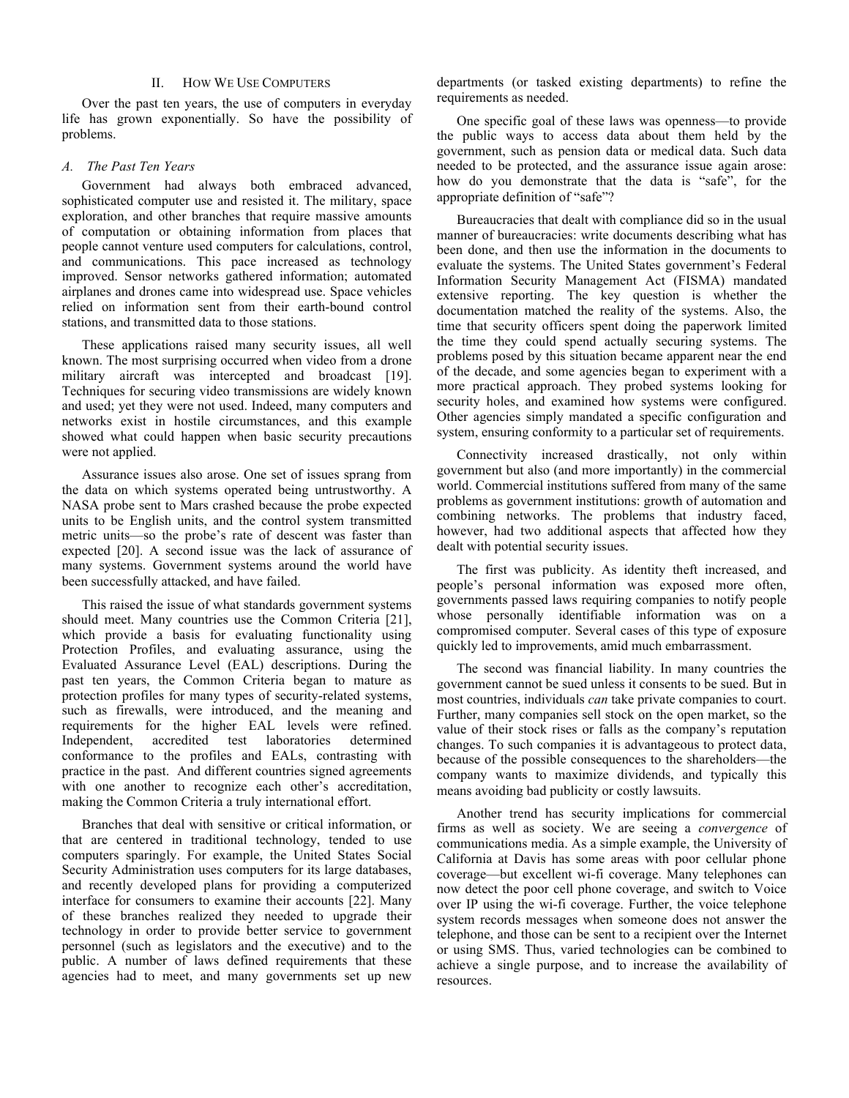#### II. HOW WE USE COMPUTERS

Over the past ten years, the use of computers in everyday life has grown exponentially. So have the possibility of problems.

#### *A. The Past Ten Years*

Government had always both embraced advanced, sophisticated computer use and resisted it. The military, space exploration, and other branches that require massive amounts of computation or obtaining information from places that people cannot venture used computers for calculations, control, and communications. This pace increased as technology improved. Sensor networks gathered information; automated airplanes and drones came into widespread use. Space vehicles relied on information sent from their earth-bound control stations, and transmitted data to those stations.

These applications raised many security issues, all well known. The most surprising occurred when video from a drone military aircraft was intercepted and broadcast [19]. Techniques for securing video transmissions are widely known and used; yet they were not used. Indeed, many computers and networks exist in hostile circumstances, and this example showed what could happen when basic security precautions were not applied.

Assurance issues also arose. One set of issues sprang from the data on which systems operated being untrustworthy. A NASA probe sent to Mars crashed because the probe expected units to be English units, and the control system transmitted metric units—so the probe's rate of descent was faster than expected [20]. A second issue was the lack of assurance of many systems. Government systems around the world have been successfully attacked, and have failed.

This raised the issue of what standards government systems should meet. Many countries use the Common Criteria [21], which provide a basis for evaluating functionality using Protection Profiles, and evaluating assurance, using the Evaluated Assurance Level (EAL) descriptions. During the past ten years, the Common Criteria began to mature as protection profiles for many types of security-related systems, such as firewalls, were introduced, and the meaning and requirements for the higher EAL levels were refined. accredited test laboratories determined conformance to the profiles and EALs, contrasting with practice in the past. And different countries signed agreements with one another to recognize each other's accreditation, making the Common Criteria a truly international effort.

Branches that deal with sensitive or critical information, or that are centered in traditional technology, tended to use computers sparingly. For example, the United States Social Security Administration uses computers for its large databases, and recently developed plans for providing a computerized interface for consumers to examine their accounts [22]. Many of these branches realized they needed to upgrade their technology in order to provide better service to government personnel (such as legislators and the executive) and to the public. A number of laws defined requirements that these agencies had to meet, and many governments set up new

departments (or tasked existing departments) to refine the requirements as needed.

One specific goal of these laws was openness—to provide the public ways to access data about them held by the government, such as pension data or medical data. Such data needed to be protected, and the assurance issue again arose: how do you demonstrate that the data is "safe", for the appropriate definition of "safe"?

Bureaucracies that dealt with compliance did so in the usual manner of bureaucracies: write documents describing what has been done, and then use the information in the documents to evaluate the systems. The United States government's Federal Information Security Management Act (FISMA) mandated extensive reporting. The key question is whether the documentation matched the reality of the systems. Also, the time that security officers spent doing the paperwork limited the time they could spend actually securing systems. The problems posed by this situation became apparent near the end of the decade, and some agencies began to experiment with a more practical approach. They probed systems looking for security holes, and examined how systems were configured. Other agencies simply mandated a specific configuration and system, ensuring conformity to a particular set of requirements.

Connectivity increased drastically, not only within government but also (and more importantly) in the commercial world. Commercial institutions suffered from many of the same problems as government institutions: growth of automation and combining networks. The problems that industry faced, however, had two additional aspects that affected how they dealt with potential security issues.

The first was publicity. As identity theft increased, and people's personal information was exposed more often, governments passed laws requiring companies to notify people whose personally identifiable information was on a compromised computer. Several cases of this type of exposure quickly led to improvements, amid much embarrassment.

The second was financial liability. In many countries the government cannot be sued unless it consents to be sued. But in most countries, individuals *can* take private companies to court. Further, many companies sell stock on the open market, so the value of their stock rises or falls as the company's reputation changes. To such companies it is advantageous to protect data, because of the possible consequences to the shareholders—the company wants to maximize dividends, and typically this means avoiding bad publicity or costly lawsuits.

Another trend has security implications for commercial firms as well as society. We are seeing a *convergence* of communications media. As a simple example, the University of California at Davis has some areas with poor cellular phone coverage—but excellent wi-fi coverage. Many telephones can now detect the poor cell phone coverage, and switch to Voice over IP using the wi-fi coverage. Further, the voice telephone system records messages when someone does not answer the telephone, and those can be sent to a recipient over the Internet or using SMS. Thus, varied technologies can be combined to achieve a single purpose, and to increase the availability of resources.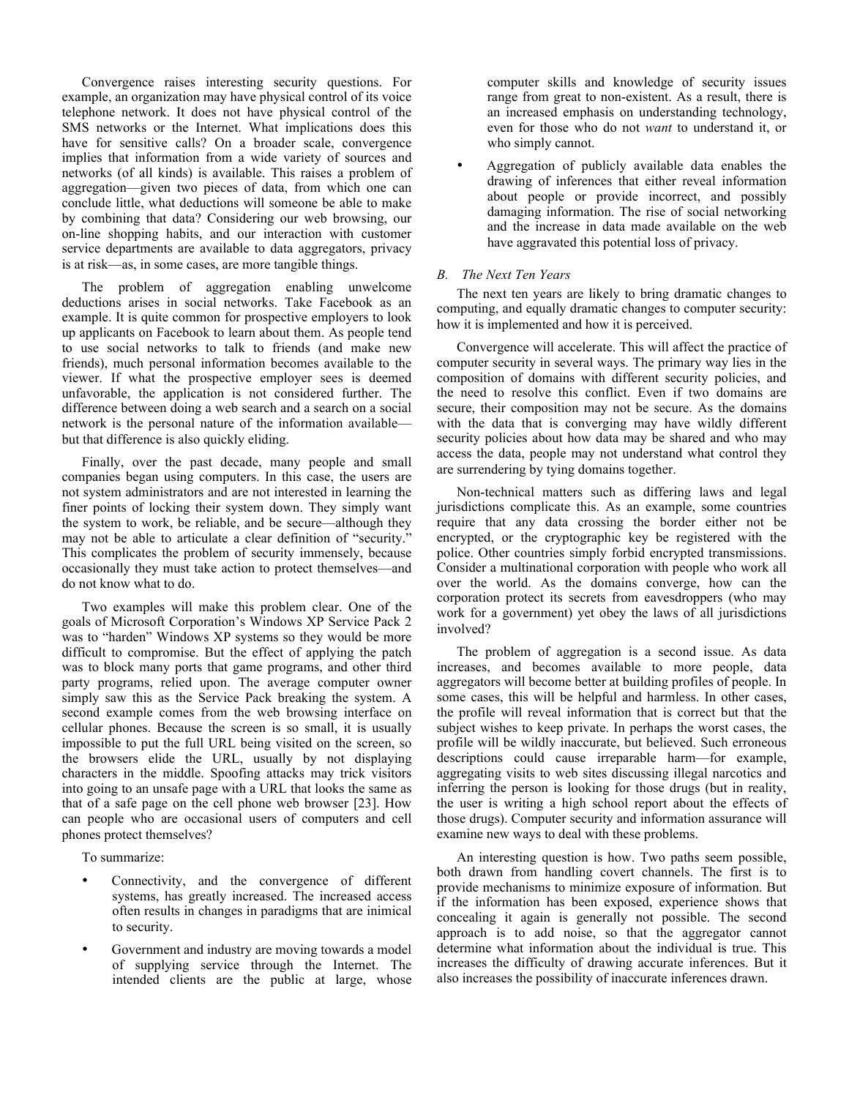Convergence raises interesting security questions. For example, an organization may have physical control of its voice telephone network. It does not have physical control of the SMS networks or the Internet. What implications does this have for sensitive calls? On a broader scale, convergence implies that information from a wide variety of sources and networks (of all kinds) is available. This raises a problem of aggregation—given two pieces of data, from which one can conclude little, what deductions will someone be able to make by combining that data? Considering our web browsing, our on-line shopping habits, and our interaction with customer service departments are available to data aggregators, privacy is at risk—as, in some cases, are more tangible things.

The problem of aggregation enabling unwelcome deductions arises in social networks. Take Facebook as an example. It is quite common for prospective employers to look up applicants on Facebook to learn about them. As people tend to use social networks to talk to friends (and make new friends), much personal information becomes available to the viewer. If what the prospective employer sees is deemed unfavorable, the application is not considered further. The difference between doing a web search and a search on a social network is the personal nature of the information available but that difference is also quickly eliding.

Finally, over the past decade, many people and small companies began using computers. In this case, the users are not system administrators and are not interested in learning the finer points of locking their system down. They simply want the system to work, be reliable, and be secure—although they may not be able to articulate a clear definition of "security." This complicates the problem of security immensely, because occasionally they must take action to protect themselves—and do not know what to do.

Two examples will make this problem clear. One of the goals of Microsoft Corporation's Windows XP Service Pack 2 was to "harden" Windows XP systems so they would be more difficult to compromise. But the effect of applying the patch was to block many ports that game programs, and other third party programs, relied upon. The average computer owner simply saw this as the Service Pack breaking the system. A second example comes from the web browsing interface on cellular phones. Because the screen is so small, it is usually impossible to put the full URL being visited on the screen, so the browsers elide the URL, usually by not displaying characters in the middle. Spoofing attacks may trick visitors into going to an unsafe page with a URL that looks the same as that of a safe page on the cell phone web browser [23]. How can people who are occasional users of computers and cell phones protect themselves?

To summarize:

- Connectivity, and the convergence of different systems, has greatly increased. The increased access often results in changes in paradigms that are inimical to security.
- Government and industry are moving towards a model of supplying service through the Internet. The intended clients are the public at large, whose

computer skills and knowledge of security issues range from great to non-existent. As a result, there is an increased emphasis on understanding technology, even for those who do not *want* to understand it, or who simply cannot.

• Aggregation of publicly available data enables the drawing of inferences that either reveal information about people or provide incorrect, and possibly damaging information. The rise of social networking and the increase in data made available on the web have aggravated this potential loss of privacy.

# *B. The Next Ten Years*

The next ten years are likely to bring dramatic changes to computing, and equally dramatic changes to computer security: how it is implemented and how it is perceived.

Convergence will accelerate. This will affect the practice of computer security in several ways. The primary way lies in the composition of domains with different security policies, and the need to resolve this conflict. Even if two domains are secure, their composition may not be secure. As the domains with the data that is converging may have wildly different security policies about how data may be shared and who may access the data, people may not understand what control they are surrendering by tying domains together.

Non-technical matters such as differing laws and legal jurisdictions complicate this. As an example, some countries require that any data crossing the border either not be encrypted, or the cryptographic key be registered with the police. Other countries simply forbid encrypted transmissions. Consider a multinational corporation with people who work all over the world. As the domains converge, how can the corporation protect its secrets from eavesdroppers (who may work for a government) yet obey the laws of all jurisdictions involved?

The problem of aggregation is a second issue. As data increases, and becomes available to more people, data aggregators will become better at building profiles of people. In some cases, this will be helpful and harmless. In other cases, the profile will reveal information that is correct but that the subject wishes to keep private. In perhaps the worst cases, the profile will be wildly inaccurate, but believed. Such erroneous descriptions could cause irreparable harm—for example, aggregating visits to web sites discussing illegal narcotics and inferring the person is looking for those drugs (but in reality, the user is writing a high school report about the effects of those drugs). Computer security and information assurance will examine new ways to deal with these problems.

An interesting question is how. Two paths seem possible, both drawn from handling covert channels. The first is to provide mechanisms to minimize exposure of information. But if the information has been exposed, experience shows that concealing it again is generally not possible. The second approach is to add noise, so that the aggregator cannot determine what information about the individual is true. This increases the difficulty of drawing accurate inferences. But it also increases the possibility of inaccurate inferences drawn.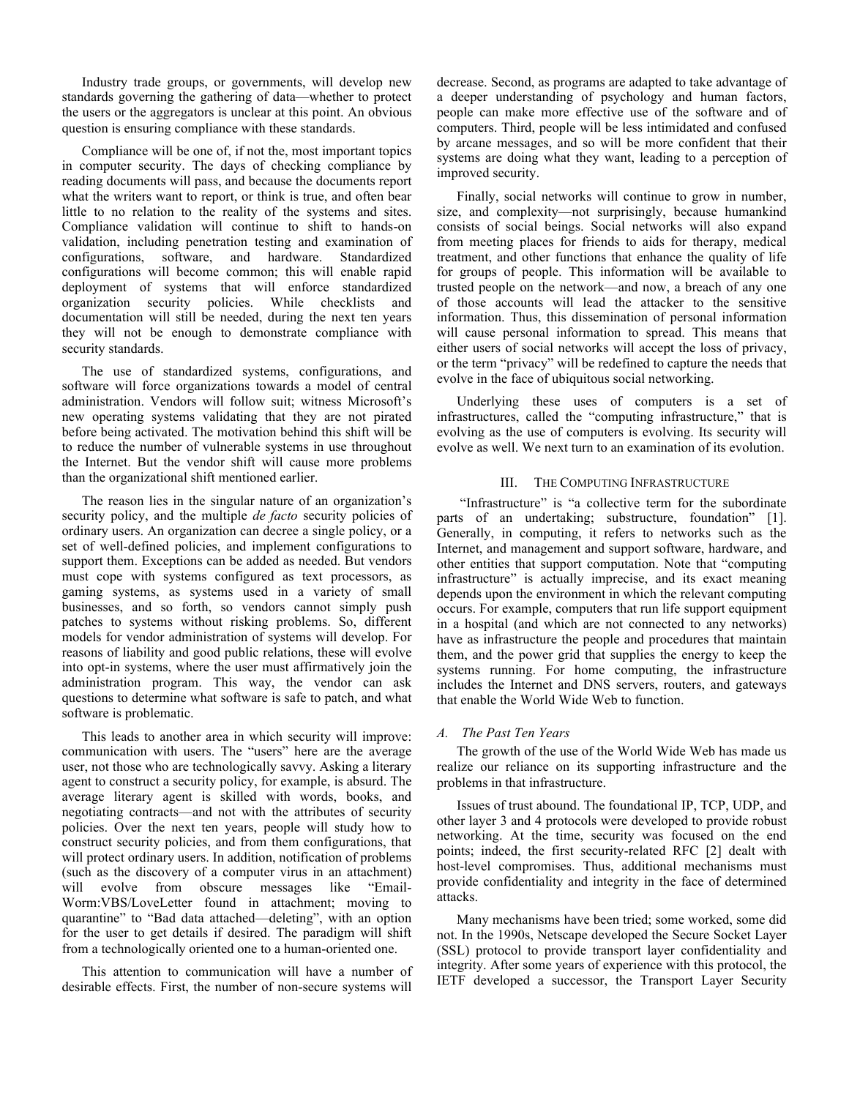Industry trade groups, or governments, will develop new standards governing the gathering of data—whether to protect the users or the aggregators is unclear at this point. An obvious question is ensuring compliance with these standards.

Compliance will be one of, if not the, most important topics in computer security. The days of checking compliance by reading documents will pass, and because the documents report what the writers want to report, or think is true, and often bear little to no relation to the reality of the systems and sites. Compliance validation will continue to shift to hands-on validation, including penetration testing and examination of configurations, software, and hardware. Standardized configurations will become common; this will enable rapid deployment of systems that will enforce standardized organization security policies. While checklists and documentation will still be needed, during the next ten years they will not be enough to demonstrate compliance with security standards.

The use of standardized systems, configurations, and software will force organizations towards a model of central administration. Vendors will follow suit; witness Microsoft's new operating systems validating that they are not pirated before being activated. The motivation behind this shift will be to reduce the number of vulnerable systems in use throughout the Internet. But the vendor shift will cause more problems than the organizational shift mentioned earlier.

The reason lies in the singular nature of an organization's security policy, and the multiple *de facto* security policies of ordinary users. An organization can decree a single policy, or a set of well-defined policies, and implement configurations to support them. Exceptions can be added as needed. But vendors must cope with systems configured as text processors, as gaming systems, as systems used in a variety of small businesses, and so forth, so vendors cannot simply push patches to systems without risking problems. So, different models for vendor administration of systems will develop. For reasons of liability and good public relations, these will evolve into opt-in systems, where the user must affirmatively join the administration program. This way, the vendor can ask questions to determine what software is safe to patch, and what software is problematic.

This leads to another area in which security will improve: communication with users. The "users" here are the average user, not those who are technologically savvy. Asking a literary agent to construct a security policy, for example, is absurd. The average literary agent is skilled with words, books, and negotiating contracts—and not with the attributes of security policies. Over the next ten years, people will study how to construct security policies, and from them configurations, that will protect ordinary users. In addition, notification of problems (such as the discovery of a computer virus in an attachment) will evolve from obscure messages like "Email-Worm:VBS/LoveLetter found in attachment; moving to quarantine" to "Bad data attached—deleting", with an option for the user to get details if desired. The paradigm will shift from a technologically oriented one to a human-oriented one.

This attention to communication will have a number of desirable effects. First, the number of non-secure systems will

decrease. Second, as programs are adapted to take advantage of a deeper understanding of psychology and human factors, people can make more effective use of the software and of computers. Third, people will be less intimidated and confused by arcane messages, and so will be more confident that their systems are doing what they want, leading to a perception of improved security.

Finally, social networks will continue to grow in number, size, and complexity—not surprisingly, because humankind consists of social beings. Social networks will also expand from meeting places for friends to aids for therapy, medical treatment, and other functions that enhance the quality of life for groups of people. This information will be available to trusted people on the network—and now, a breach of any one of those accounts will lead the attacker to the sensitive information. Thus, this dissemination of personal information will cause personal information to spread. This means that either users of social networks will accept the loss of privacy, or the term "privacy" will be redefined to capture the needs that evolve in the face of ubiquitous social networking.

Underlying these uses of computers is a set of infrastructures, called the "computing infrastructure," that is evolving as the use of computers is evolving. Its security will evolve as well. We next turn to an examination of its evolution.

## III. THE COMPUTING INFRASTRUCTURE

 "Infrastructure" is "a collective term for the subordinate parts of an undertaking; substructure, foundation" [1]. Generally, in computing, it refers to networks such as the Internet, and management and support software, hardware, and other entities that support computation. Note that "computing infrastructure" is actually imprecise, and its exact meaning depends upon the environment in which the relevant computing occurs. For example, computers that run life support equipment in a hospital (and which are not connected to any networks) have as infrastructure the people and procedures that maintain them, and the power grid that supplies the energy to keep the systems running. For home computing, the infrastructure includes the Internet and DNS servers, routers, and gateways that enable the World Wide Web to function.

#### *A. The Past Ten Years*

The growth of the use of the World Wide Web has made us realize our reliance on its supporting infrastructure and the problems in that infrastructure.

Issues of trust abound. The foundational IP, TCP, UDP, and other layer 3 and 4 protocols were developed to provide robust networking. At the time, security was focused on the end points; indeed, the first security-related RFC [2] dealt with host-level compromises. Thus, additional mechanisms must provide confidentiality and integrity in the face of determined attacks.

Many mechanisms have been tried; some worked, some did not. In the 1990s, Netscape developed the Secure Socket Layer (SSL) protocol to provide transport layer confidentiality and integrity. After some years of experience with this protocol, the IETF developed a successor, the Transport Layer Security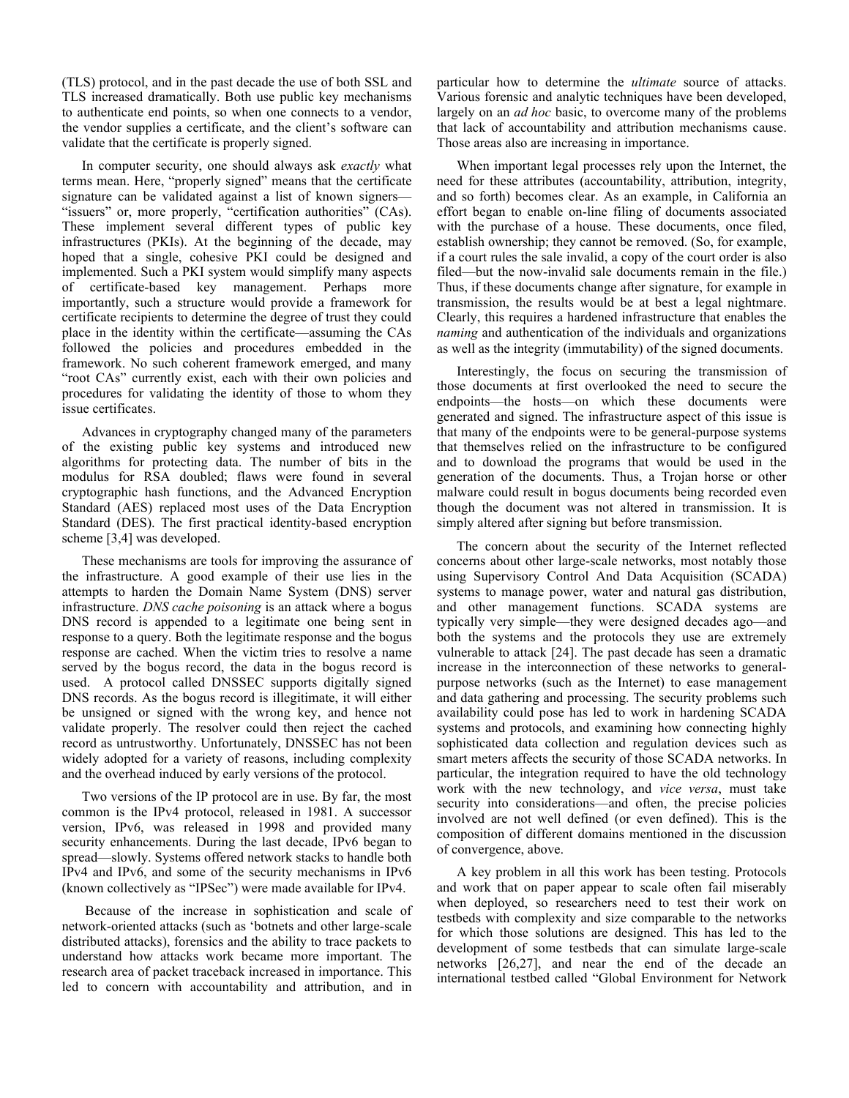(TLS) protocol, and in the past decade the use of both SSL and TLS increased dramatically. Both use public key mechanisms to authenticate end points, so when one connects to a vendor, the vendor supplies a certificate, and the client's software can validate that the certificate is properly signed.

In computer security, one should always ask *exactly* what terms mean. Here, "properly signed" means that the certificate signature can be validated against a list of known signers— "issuers" or, more properly, "certification authorities" (CAs). These implement several different types of public key infrastructures (PKIs). At the beginning of the decade, may hoped that a single, cohesive PKI could be designed and implemented. Such a PKI system would simplify many aspects of certificate-based key management. Perhaps more importantly, such a structure would provide a framework for certificate recipients to determine the degree of trust they could place in the identity within the certificate—assuming the CAs followed the policies and procedures embedded in the framework. No such coherent framework emerged, and many "root CAs" currently exist, each with their own policies and procedures for validating the identity of those to whom they issue certificates.

Advances in cryptography changed many of the parameters of the existing public key systems and introduced new algorithms for protecting data. The number of bits in the modulus for RSA doubled; flaws were found in several cryptographic hash functions, and the Advanced Encryption Standard (AES) replaced most uses of the Data Encryption Standard (DES). The first practical identity-based encryption scheme [3,4] was developed.

These mechanisms are tools for improving the assurance of the infrastructure. A good example of their use lies in the attempts to harden the Domain Name System (DNS) server infrastructure. *DNS cache poisoning* is an attack where a bogus DNS record is appended to a legitimate one being sent in response to a query. Both the legitimate response and the bogus response are cached. When the victim tries to resolve a name served by the bogus record, the data in the bogus record is used. A protocol called DNSSEC supports digitally signed DNS records. As the bogus record is illegitimate, it will either be unsigned or signed with the wrong key, and hence not validate properly. The resolver could then reject the cached record as untrustworthy. Unfortunately, DNSSEC has not been widely adopted for a variety of reasons, including complexity and the overhead induced by early versions of the protocol.

Two versions of the IP protocol are in use. By far, the most common is the IPv4 protocol, released in 1981. A successor version, IPv6, was released in 1998 and provided many security enhancements. During the last decade, IPv6 began to spread—slowly. Systems offered network stacks to handle both IPv4 and IPv6, and some of the security mechanisms in IPv6 (known collectively as "IPSec") were made available for IPv4.

 Because of the increase in sophistication and scale of network-oriented attacks (such as 'botnets and other large-scale distributed attacks), forensics and the ability to trace packets to understand how attacks work became more important. The research area of packet traceback increased in importance. This led to concern with accountability and attribution, and in

particular how to determine the *ultimate* source of attacks. Various forensic and analytic techniques have been developed, largely on an *ad hoc* basic, to overcome many of the problems that lack of accountability and attribution mechanisms cause. Those areas also are increasing in importance.

When important legal processes rely upon the Internet, the need for these attributes (accountability, attribution, integrity, and so forth) becomes clear. As an example, in California an effort began to enable on-line filing of documents associated with the purchase of a house. These documents, once filed, establish ownership; they cannot be removed. (So, for example, if a court rules the sale invalid, a copy of the court order is also filed—but the now-invalid sale documents remain in the file.) Thus, if these documents change after signature, for example in transmission, the results would be at best a legal nightmare. Clearly, this requires a hardened infrastructure that enables the *naming* and authentication of the individuals and organizations as well as the integrity (immutability) of the signed documents.

Interestingly, the focus on securing the transmission of those documents at first overlooked the need to secure the endpoints—the hosts—on which these documents were generated and signed. The infrastructure aspect of this issue is that many of the endpoints were to be general-purpose systems that themselves relied on the infrastructure to be configured and to download the programs that would be used in the generation of the documents. Thus, a Trojan horse or other malware could result in bogus documents being recorded even though the document was not altered in transmission. It is simply altered after signing but before transmission.

The concern about the security of the Internet reflected concerns about other large-scale networks, most notably those using Supervisory Control And Data Acquisition (SCADA) systems to manage power, water and natural gas distribution, and other management functions. SCADA systems are typically very simple—they were designed decades ago—and both the systems and the protocols they use are extremely vulnerable to attack [24]. The past decade has seen a dramatic increase in the interconnection of these networks to generalpurpose networks (such as the Internet) to ease management and data gathering and processing. The security problems such availability could pose has led to work in hardening SCADA systems and protocols, and examining how connecting highly sophisticated data collection and regulation devices such as smart meters affects the security of those SCADA networks. In particular, the integration required to have the old technology work with the new technology, and *vice versa*, must take security into considerations—and often, the precise policies involved are not well defined (or even defined). This is the composition of different domains mentioned in the discussion of convergence, above.

A key problem in all this work has been testing. Protocols and work that on paper appear to scale often fail miserably when deployed, so researchers need to test their work on testbeds with complexity and size comparable to the networks for which those solutions are designed. This has led to the development of some testbeds that can simulate large-scale networks [26,27], and near the end of the decade an international testbed called "Global Environment for Network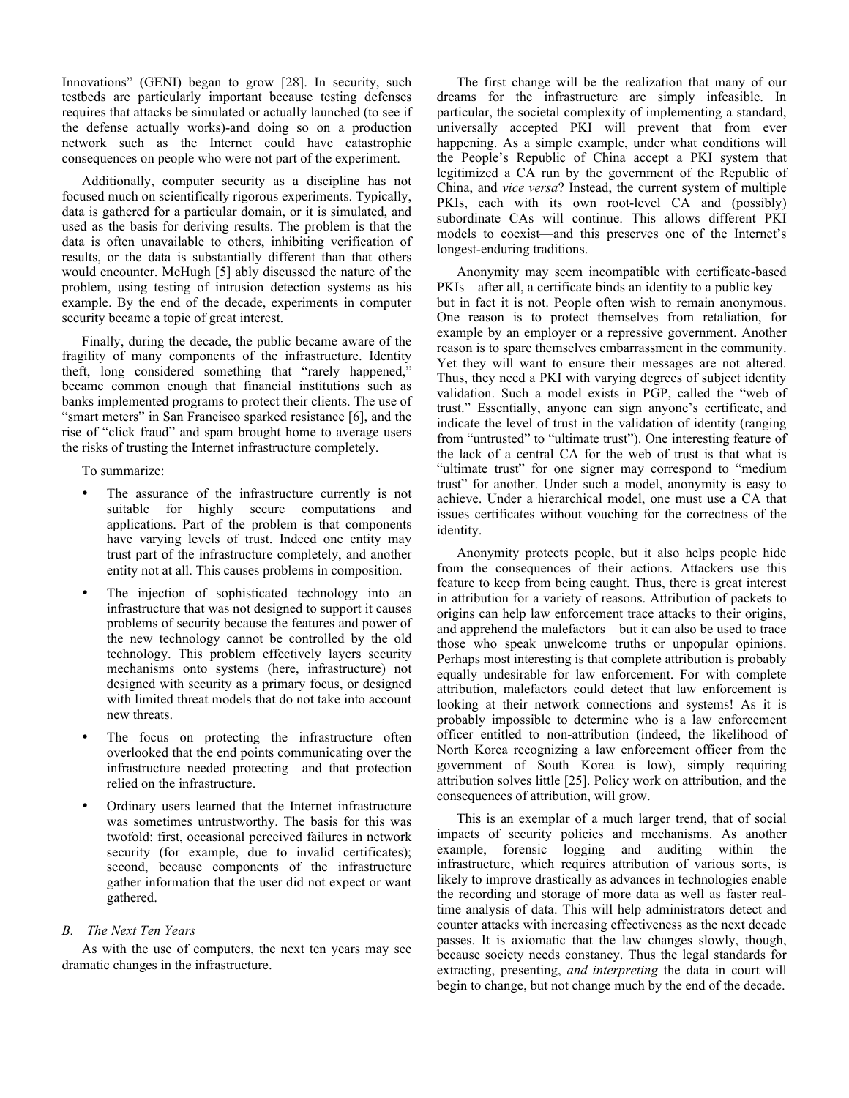Innovations" (GENI) began to grow [28]. In security, such testbeds are particularly important because testing defenses requires that attacks be simulated or actually launched (to see if the defense actually works)-and doing so on a production network such as the Internet could have catastrophic consequences on people who were not part of the experiment.

Additionally, computer security as a discipline has not focused much on scientifically rigorous experiments. Typically, data is gathered for a particular domain, or it is simulated, and used as the basis for deriving results. The problem is that the data is often unavailable to others, inhibiting verification of results, or the data is substantially different than that others would encounter. McHugh [5] ably discussed the nature of the problem, using testing of intrusion detection systems as his example. By the end of the decade, experiments in computer security became a topic of great interest.

Finally, during the decade, the public became aware of the fragility of many components of the infrastructure. Identity theft, long considered something that "rarely happened," became common enough that financial institutions such as banks implemented programs to protect their clients. The use of "smart meters" in San Francisco sparked resistance [6], and the rise of "click fraud" and spam brought home to average users the risks of trusting the Internet infrastructure completely.

To summarize:

- The assurance of the infrastructure currently is not suitable for highly secure computations and applications. Part of the problem is that components have varying levels of trust. Indeed one entity may trust part of the infrastructure completely, and another entity not at all. This causes problems in composition.
- The injection of sophisticated technology into an infrastructure that was not designed to support it causes problems of security because the features and power of the new technology cannot be controlled by the old technology. This problem effectively layers security mechanisms onto systems (here, infrastructure) not designed with security as a primary focus, or designed with limited threat models that do not take into account new threats.
- The focus on protecting the infrastructure often overlooked that the end points communicating over the infrastructure needed protecting—and that protection relied on the infrastructure.
- Ordinary users learned that the Internet infrastructure was sometimes untrustworthy. The basis for this was twofold: first, occasional perceived failures in network security (for example, due to invalid certificates); second, because components of the infrastructure gather information that the user did not expect or want gathered.

# *B. The Next Ten Years*

As with the use of computers, the next ten years may see dramatic changes in the infrastructure.

The first change will be the realization that many of our dreams for the infrastructure are simply infeasible. In particular, the societal complexity of implementing a standard, universally accepted PKI will prevent that from ever happening. As a simple example, under what conditions will the People's Republic of China accept a PKI system that legitimized a CA run by the government of the Republic of China, and *vice versa*? Instead, the current system of multiple PKIs, each with its own root-level CA and (possibly) subordinate CAs will continue. This allows different PKI models to coexist—and this preserves one of the Internet's longest-enduring traditions.

Anonymity may seem incompatible with certificate-based PKIs—after all, a certificate binds an identity to a public key but in fact it is not. People often wish to remain anonymous. One reason is to protect themselves from retaliation, for example by an employer or a repressive government. Another reason is to spare themselves embarrassment in the community. Yet they will want to ensure their messages are not altered. Thus, they need a PKI with varying degrees of subject identity validation. Such a model exists in PGP, called the "web of trust." Essentially, anyone can sign anyone's certificate, and indicate the level of trust in the validation of identity (ranging from "untrusted" to "ultimate trust"). One interesting feature of the lack of a central CA for the web of trust is that what is "ultimate trust" for one signer may correspond to "medium trust" for another. Under such a model, anonymity is easy to achieve. Under a hierarchical model, one must use a CA that issues certificates without vouching for the correctness of the identity.

Anonymity protects people, but it also helps people hide from the consequences of their actions. Attackers use this feature to keep from being caught. Thus, there is great interest in attribution for a variety of reasons. Attribution of packets to origins can help law enforcement trace attacks to their origins, and apprehend the malefactors—but it can also be used to trace those who speak unwelcome truths or unpopular opinions. Perhaps most interesting is that complete attribution is probably equally undesirable for law enforcement. For with complete attribution, malefactors could detect that law enforcement is looking at their network connections and systems! As it is probably impossible to determine who is a law enforcement officer entitled to non-attribution (indeed, the likelihood of North Korea recognizing a law enforcement officer from the government of South Korea is low), simply requiring attribution solves little [25]. Policy work on attribution, and the consequences of attribution, will grow.

This is an exemplar of a much larger trend, that of social impacts of security policies and mechanisms. As another example, forensic logging and auditing within the infrastructure, which requires attribution of various sorts, is likely to improve drastically as advances in technologies enable the recording and storage of more data as well as faster realtime analysis of data. This will help administrators detect and counter attacks with increasing effectiveness as the next decade passes. It is axiomatic that the law changes slowly, though, because society needs constancy. Thus the legal standards for extracting, presenting, *and interpreting* the data in court will begin to change, but not change much by the end of the decade.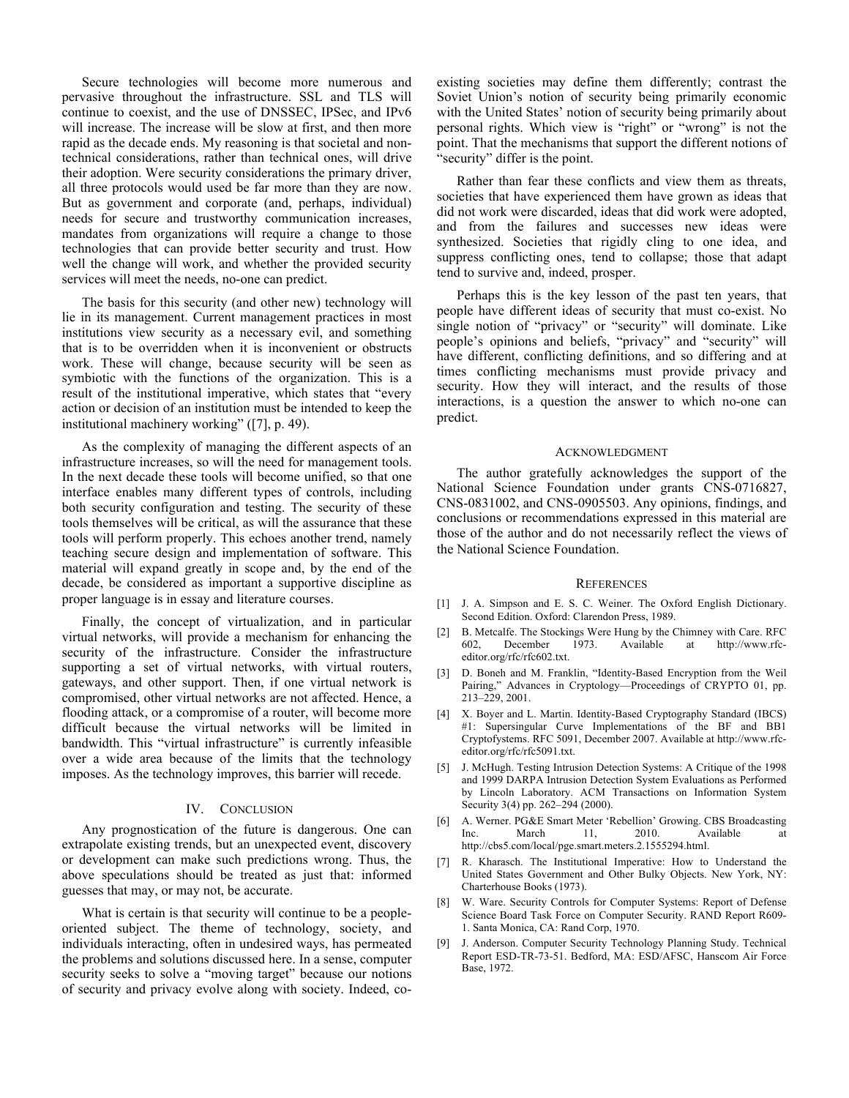Secure technologies will become more numerous and pervasive throughout the infrastructure. SSL and TLS will continue to coexist, and the use of DNSSEC, IPSec, and IPv6 will increase. The increase will be slow at first, and then more rapid as the decade ends. My reasoning is that societal and nontechnical considerations, rather than technical ones, will drive their adoption. Were security considerations the primary driver, all three protocols would used be far more than they are now. But as government and corporate (and, perhaps, individual) needs for secure and trustworthy communication increases, mandates from organizations will require a change to those technologies that can provide better security and trust. How well the change will work, and whether the provided security services will meet the needs, no-one can predict.

The basis for this security (and other new) technology will lie in its management. Current management practices in most institutions view security as a necessary evil, and something that is to be overridden when it is inconvenient or obstructs work. These will change, because security will be seen as symbiotic with the functions of the organization. This is a result of the institutional imperative, which states that "every action or decision of an institution must be intended to keep the institutional machinery working" ([7], p. 49).

As the complexity of managing the different aspects of an infrastructure increases, so will the need for management tools. In the next decade these tools will become unified, so that one interface enables many different types of controls, including both security configuration and testing. The security of these tools themselves will be critical, as will the assurance that these tools will perform properly. This echoes another trend, namely teaching secure design and implementation of software. This material will expand greatly in scope and, by the end of the decade, be considered as important a supportive discipline as proper language is in essay and literature courses.

Finally, the concept of virtualization, and in particular virtual networks, will provide a mechanism for enhancing the security of the infrastructure. Consider the infrastructure supporting a set of virtual networks, with virtual routers, gateways, and other support. Then, if one virtual network is compromised, other virtual networks are not affected. Hence, a flooding attack, or a compromise of a router, will become more difficult because the virtual networks will be limited in bandwidth. This "virtual infrastructure" is currently infeasible over a wide area because of the limits that the technology imposes. As the technology improves, this barrier will recede.

### IV. CONCLUSION

Any prognostication of the future is dangerous. One can extrapolate existing trends, but an unexpected event, discovery or development can make such predictions wrong. Thus, the above speculations should be treated as just that: informed guesses that may, or may not, be accurate.

What is certain is that security will continue to be a peopleoriented subject. The theme of technology, society, and individuals interacting, often in undesired ways, has permeated the problems and solutions discussed here. In a sense, computer security seeks to solve a "moving target" because our notions of security and privacy evolve along with society. Indeed, coexisting societies may define them differently; contrast the Soviet Union's notion of security being primarily economic with the United States' notion of security being primarily about personal rights. Which view is "right" or "wrong" is not the point. That the mechanisms that support the different notions of "security" differ is the point.

Rather than fear these conflicts and view them as threats, societies that have experienced them have grown as ideas that did not work were discarded, ideas that did work were adopted, and from the failures and successes new ideas were synthesized. Societies that rigidly cling to one idea, and suppress conflicting ones, tend to collapse; those that adapt tend to survive and, indeed, prosper.

Perhaps this is the key lesson of the past ten years, that people have different ideas of security that must co-exist. No single notion of "privacy" or "security" will dominate. Like people's opinions and beliefs, "privacy" and "security" will have different, conflicting definitions, and so differing and at times conflicting mechanisms must provide privacy and security. How they will interact, and the results of those interactions, is a question the answer to which no-one can predict.

#### ACKNOWLEDGMENT

The author gratefully acknowledges the support of the National Science Foundation under grants CNS-0716827, CNS-0831002, and CNS-0905503. Any opinions, findings, and conclusions or recommendations expressed in this material are those of the author and do not necessarily reflect the views of the National Science Foundation.

#### **REFERENCES**

- [1] J. A. Simpson and E. S. C. Weiner. The Oxford English Dictionary. Second Edition. Oxford: Clarendon Press, 1989.
- [2] B. Metcalfe. The Stockings Were Hung by the Chimney with Care. RFC 602, December 1973. Available at http://www.rfceditor.org/rfc/rfc602.txt.
- [3] D. Boneh and M. Franklin, "Identity-Based Encryption from the Weil Pairing," Advances in Cryptology—Proceedings of CRYPTO 01, pp. 213–229, 2001.
- [4] X. Boyer and L. Martin. Identity-Based Cryptography Standard (IBCS) #1: Supersingular Curve Implementations of the BF and BB1 Cryptofystems. RFC 5091, December 2007. Available at http://www.rfceditor.org/rfc/rfc5091.txt.
- [5] J. McHugh. Testing Intrusion Detection Systems: A Critique of the 1998 and 1999 DARPA Intrusion Detection System Evaluations as Performed by Lincoln Laboratory. ACM Transactions on Information System Security 3(4) pp. 262–294 (2000).
- [6] A. Werner. PG&E Smart Meter 'Rebellion' Growing. CBS Broadcasting Inc. March 11, 2010. Available at http://cbs5.com/local/pge.smart.meters.2.1555294.html.
- [7] R. Kharasch. The Institutional Imperative: How to Understand the United States Government and Other Bulky Objects. New York, NY: Charterhouse Books (1973).
- [8] W. Ware. Security Controls for Computer Systems: Report of Defense Science Board Task Force on Computer Security. RAND Report R609- 1. Santa Monica, CA: Rand Corp, 1970.
- [9] J. Anderson. Computer Security Technology Planning Study. Technical Report ESD-TR-73-51. Bedford, MA: ESD/AFSC, Hanscom Air Force Base, 1972.